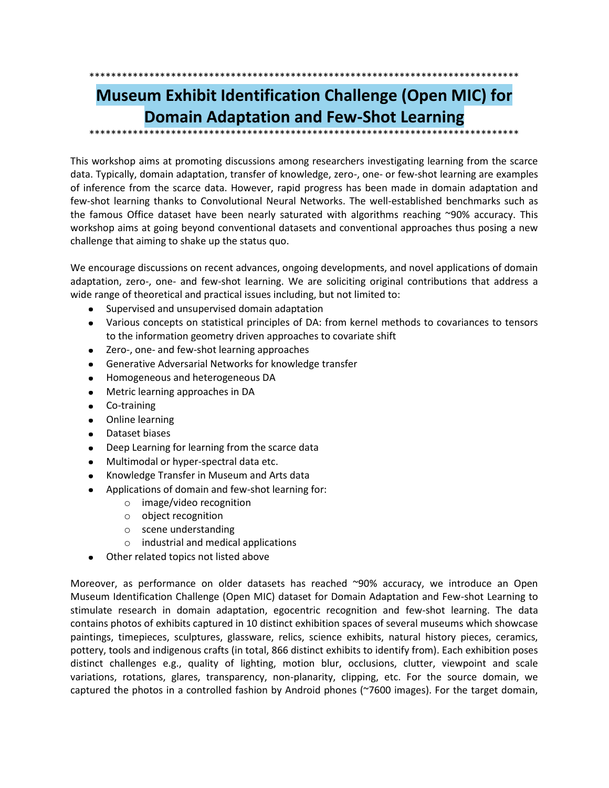# **Museum Exhibit Identification Challenge (Open MIC) for Domain Adaptation and Few-Shot Learning**

This workshop aims at promoting discussions among researchers investigating learning from the scarce data. Typically, domain adaptation, transfer of knowledge, zero-, one- or few-shot learning are examples of inference from the scarce data. However, rapid progress has been made in domain adaptation and few-shot learning thanks to Convolutional Neural Networks. The well-established benchmarks such as the famous Office dataset have been nearly saturated with algorithms reaching ~90% accuracy. This workshop aims at going beyond conventional datasets and conventional approaches thus posing a new challenge that aiming to shake up the status quo.

We encourage discussions on recent advances, ongoing developments, and novel applications of domain adaptation, zero-, one- and few-shot learning. We are soliciting original contributions that address a wide range of theoretical and practical issues including, but not limited to:

- Supervised and unsupervised domain adaptation
- Various concepts on statistical principles of DA: from kernel methods to covariances to tensors  $\bullet$ to the information geometry driven approaches to covariate shift
- Zero-, one- and few-shot learning approaches  $\bullet$
- Generative Adversarial Networks for knowledge transfer  $\bullet$
- Homogeneous and heterogeneous DA
- $\bullet$ Metric learning approaches in DA
- Co-training  $\bullet$
- Online learning
- Dataset biases  $\bullet$
- Deep Learning for learning from the scarce data  $\bullet$
- Multimodal or hyper-spectral data etc.
- Knowledge Transfer in Museum and Arts data
- Applications of domain and few-shot learning for:
	- $\circ$  image/video recognition
	- o object recognition
	- o scene understanding
	- $\circ$  industrial and medical applications
- Other related topics not listed above

Moreover, as performance on older datasets has reached ~90% accuracy, we introduce an Open Museum Identification Challenge (Open MIC) dataset for Domain Adaptation and Few-shot Learning to stimulate research in domain adaptation, egocentric recognition and few-shot learning. The data contains photos of exhibits captured in 10 distinct exhibition spaces of several museums which showcase paintings, timepieces, sculptures, glassware, relics, science exhibits, natural history pieces, ceramics, pottery, tools and indigenous crafts (in total, 866 distinct exhibits to identify from). Each exhibition poses distinct challenges e.g., quality of lighting, motion blur, occlusions, clutter, viewpoint and scale variations, rotations, glares, transparency, non-planarity, clipping, etc. For the source domain, we captured the photos in a controlled fashion by Android phones (~7600 images). For the target domain,